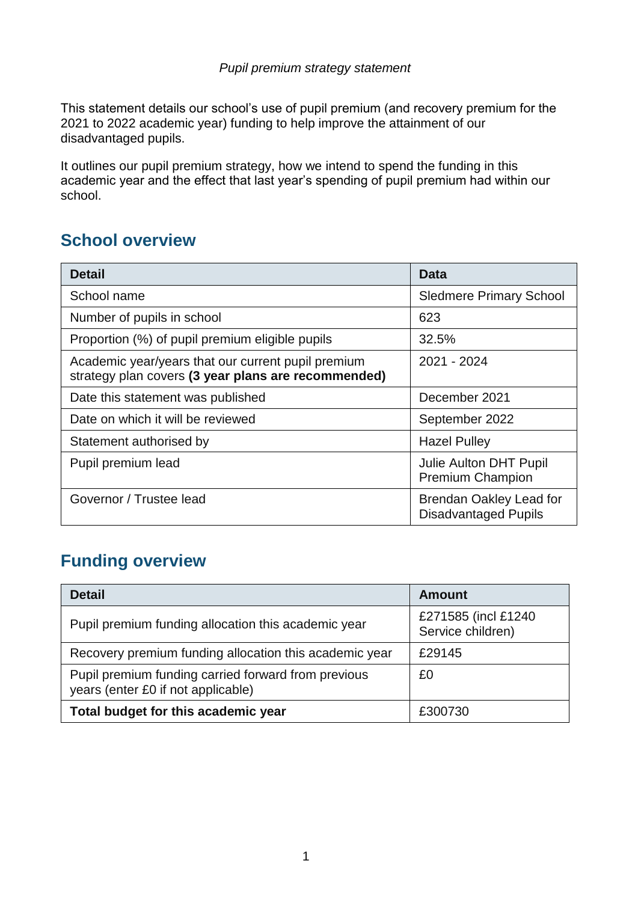#### *Pupil premium strategy statement*

This statement details our school's use of pupil premium (and recovery premium for the 2021 to 2022 academic year) funding to help improve the attainment of our disadvantaged pupils.

It outlines our pupil premium strategy, how we intend to spend the funding in this academic year and the effect that last year's spending of pupil premium had within our school.

#### **School overview**

| <b>Detail</b>                                                                                             | Data                                                          |
|-----------------------------------------------------------------------------------------------------------|---------------------------------------------------------------|
| School name                                                                                               | <b>Sledmere Primary School</b>                                |
| Number of pupils in school                                                                                | 623                                                           |
| Proportion (%) of pupil premium eligible pupils                                                           | 32.5%                                                         |
| Academic year/years that our current pupil premium<br>strategy plan covers (3 year plans are recommended) | 2021 - 2024                                                   |
| Date this statement was published                                                                         | December 2021                                                 |
| Date on which it will be reviewed                                                                         | September 2022                                                |
| Statement authorised by                                                                                   | <b>Hazel Pulley</b>                                           |
| Pupil premium lead                                                                                        | Julie Aulton DHT Pupil<br><b>Premium Champion</b>             |
| Governor / Trustee lead                                                                                   | <b>Brendan Oakley Lead for</b><br><b>Disadvantaged Pupils</b> |

### **Funding overview**

| <b>Detail</b>                                                                             | <b>Amount</b>                             |
|-------------------------------------------------------------------------------------------|-------------------------------------------|
| Pupil premium funding allocation this academic year                                       | £271585 (incl £1240)<br>Service children) |
| Recovery premium funding allocation this academic year                                    | £29145                                    |
| Pupil premium funding carried forward from previous<br>years (enter £0 if not applicable) | £0                                        |
| Total budget for this academic year                                                       | £300730                                   |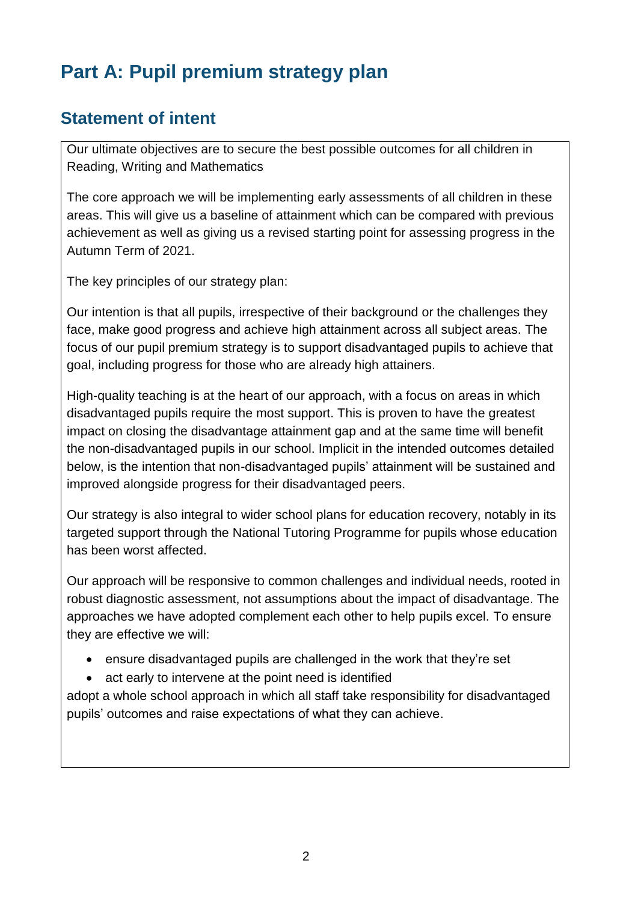# **Part A: Pupil premium strategy plan**

#### **Statement of intent**

Our ultimate objectives are to secure the best possible outcomes for all children in Reading, Writing and Mathematics

The core approach we will be implementing early assessments of all children in these areas. This will give us a baseline of attainment which can be compared with previous achievement as well as giving us a revised starting point for assessing progress in the Autumn Term of 2021.

The key principles of our strategy plan:

Our intention is that all pupils, irrespective of their background or the challenges they face, make good progress and achieve high attainment across all subject areas. The focus of our pupil premium strategy is to support disadvantaged pupils to achieve that goal, including progress for those who are already high attainers.

High-quality teaching is at the heart of our approach, with a focus on areas in which disadvantaged pupils require the most support. This is proven to have the greatest impact on closing the disadvantage attainment gap and at the same time will benefit the non-disadvantaged pupils in our school. Implicit in the intended outcomes detailed below, is the intention that non-disadvantaged pupils' attainment will be sustained and improved alongside progress for their disadvantaged peers.

Our strategy is also integral to wider school plans for education recovery, notably in its targeted support through the National Tutoring Programme for pupils whose education has been worst affected.

Our approach will be responsive to common challenges and individual needs, rooted in robust diagnostic assessment, not assumptions about the impact of disadvantage. The approaches we have adopted complement each other to help pupils excel. To ensure they are effective we will:

- ensure disadvantaged pupils are challenged in the work that they're set
- act early to intervene at the point need is identified

adopt a whole school approach in which all staff take responsibility for disadvantaged pupils' outcomes and raise expectations of what they can achieve.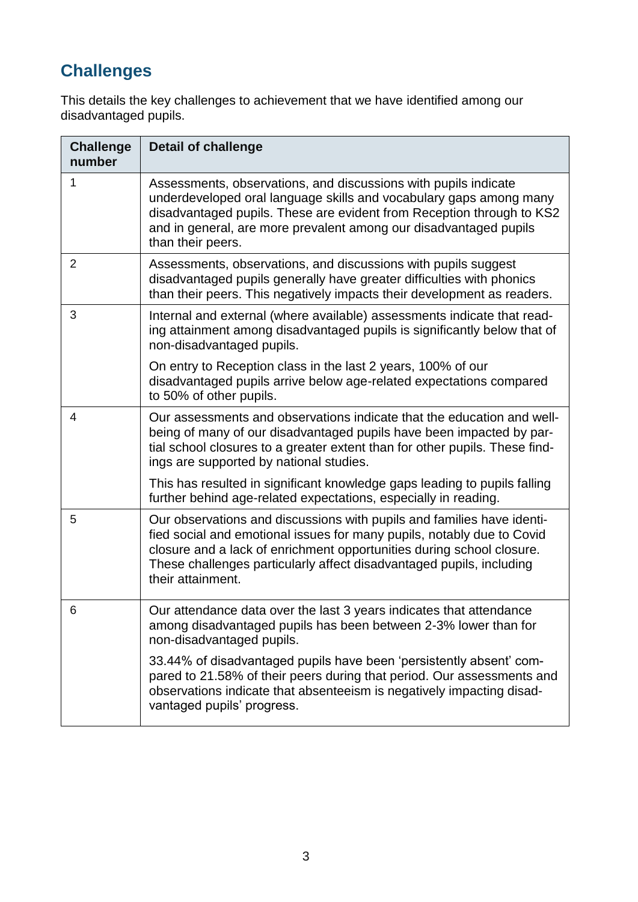# **Challenges**

This details the key challenges to achievement that we have identified among our disadvantaged pupils.

| <b>Challenge</b><br>number | <b>Detail of challenge</b>                                                                                                                                                                                                                                                                                             |
|----------------------------|------------------------------------------------------------------------------------------------------------------------------------------------------------------------------------------------------------------------------------------------------------------------------------------------------------------------|
| 1                          | Assessments, observations, and discussions with pupils indicate<br>underdeveloped oral language skills and vocabulary gaps among many<br>disadvantaged pupils. These are evident from Reception through to KS2<br>and in general, are more prevalent among our disadvantaged pupils<br>than their peers.               |
| $\overline{2}$             | Assessments, observations, and discussions with pupils suggest<br>disadvantaged pupils generally have greater difficulties with phonics<br>than their peers. This negatively impacts their development as readers.                                                                                                     |
| 3                          | Internal and external (where available) assessments indicate that read-<br>ing attainment among disadvantaged pupils is significantly below that of<br>non-disadvantaged pupils.                                                                                                                                       |
|                            | On entry to Reception class in the last 2 years, 100% of our<br>disadvantaged pupils arrive below age-related expectations compared<br>to 50% of other pupils.                                                                                                                                                         |
| $\overline{4}$             | Our assessments and observations indicate that the education and well-<br>being of many of our disadvantaged pupils have been impacted by par-<br>tial school closures to a greater extent than for other pupils. These find-<br>ings are supported by national studies.                                               |
|                            | This has resulted in significant knowledge gaps leading to pupils falling<br>further behind age-related expectations, especially in reading.                                                                                                                                                                           |
| 5                          | Our observations and discussions with pupils and families have identi-<br>fied social and emotional issues for many pupils, notably due to Covid<br>closure and a lack of enrichment opportunities during school closure.<br>These challenges particularly affect disadvantaged pupils, including<br>their attainment. |
| 6                          | Our attendance data over the last 3 years indicates that attendance<br>among disadvantaged pupils has been between 2-3% lower than for<br>non-disadvantaged pupils.                                                                                                                                                    |
|                            | 33.44% of disadvantaged pupils have been 'persistently absent' com-<br>pared to 21.58% of their peers during that period. Our assessments and<br>observations indicate that absenteeism is negatively impacting disad-<br>vantaged pupils' progress.                                                                   |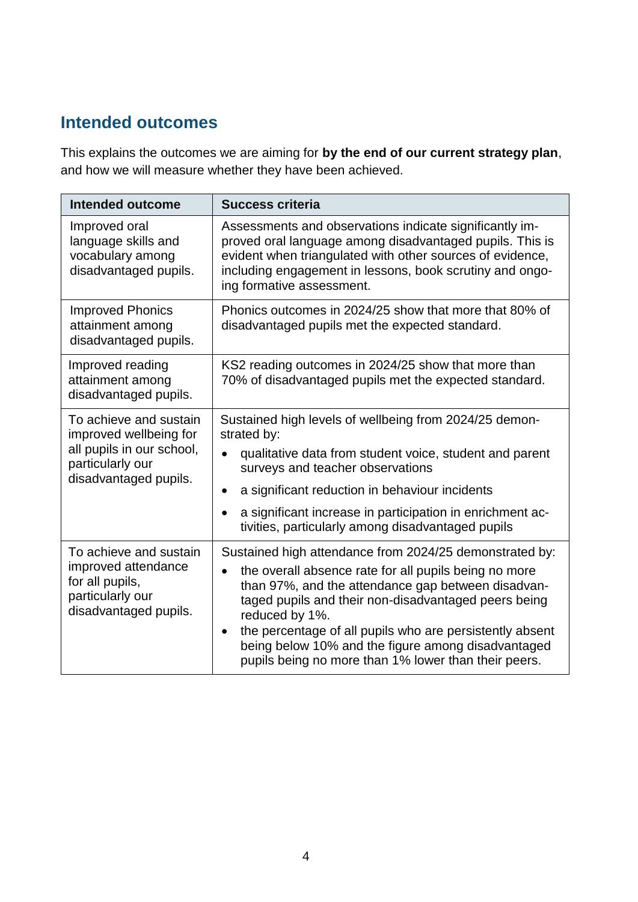#### **Intended outcomes**

This explains the outcomes we are aiming for **by the end of our current strategy plan**, and how we will measure whether they have been achieved.

| <b>Intended outcome</b>                                                                                                    | <b>Success criteria</b>                                                                                                                                                                                                                                                                                                                                                                                                                              |  |  |  |  |
|----------------------------------------------------------------------------------------------------------------------------|------------------------------------------------------------------------------------------------------------------------------------------------------------------------------------------------------------------------------------------------------------------------------------------------------------------------------------------------------------------------------------------------------------------------------------------------------|--|--|--|--|
| Improved oral<br>language skills and<br>vocabulary among<br>disadvantaged pupils.                                          | Assessments and observations indicate significantly im-<br>proved oral language among disadvantaged pupils. This is<br>evident when triangulated with other sources of evidence,<br>including engagement in lessons, book scrutiny and ongo-<br>ing formative assessment.                                                                                                                                                                            |  |  |  |  |
| <b>Improved Phonics</b><br>attainment among<br>disadvantaged pupils.                                                       | Phonics outcomes in 2024/25 show that more that 80% of<br>disadvantaged pupils met the expected standard.                                                                                                                                                                                                                                                                                                                                            |  |  |  |  |
| Improved reading<br>attainment among<br>disadvantaged pupils.                                                              | KS2 reading outcomes in 2024/25 show that more than<br>70% of disadvantaged pupils met the expected standard.                                                                                                                                                                                                                                                                                                                                        |  |  |  |  |
| To achieve and sustain<br>improved wellbeing for<br>all pupils in our school,<br>particularly our<br>disadvantaged pupils. | Sustained high levels of wellbeing from 2024/25 demon-<br>strated by:<br>qualitative data from student voice, student and parent<br>surveys and teacher observations<br>a significant reduction in behaviour incidents<br>$\bullet$<br>a significant increase in participation in enrichment ac-<br>tivities, particularly among disadvantaged pupils                                                                                                |  |  |  |  |
| To achieve and sustain<br>improved attendance<br>for all pupils,<br>particularly our<br>disadvantaged pupils.              | Sustained high attendance from 2024/25 demonstrated by:<br>the overall absence rate for all pupils being no more<br>$\bullet$<br>than 97%, and the attendance gap between disadvan-<br>taged pupils and their non-disadvantaged peers being<br>reduced by 1%.<br>the percentage of all pupils who are persistently absent<br>$\bullet$<br>being below 10% and the figure among disadvantaged<br>pupils being no more than 1% lower than their peers. |  |  |  |  |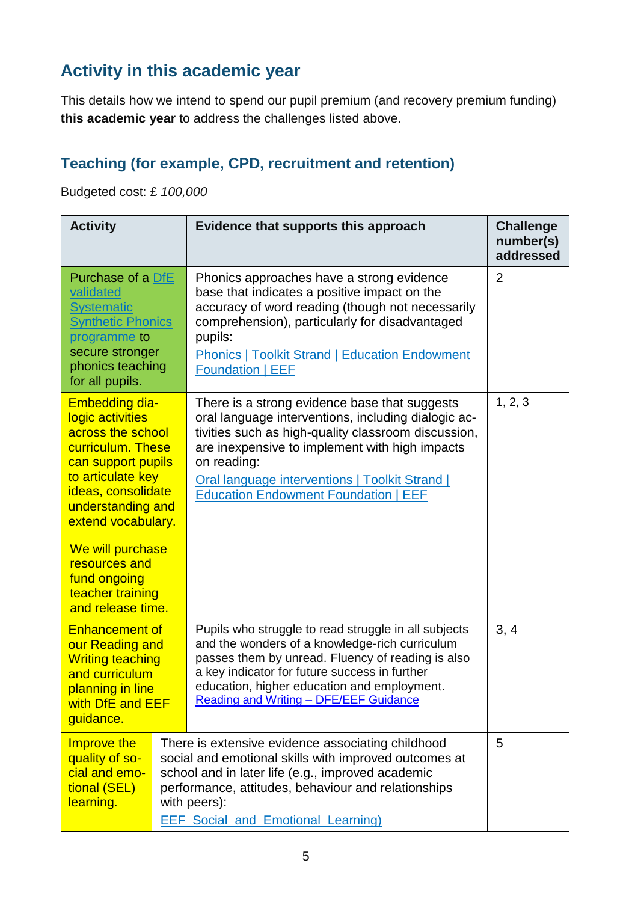## **Activity in this academic year**

This details how we intend to spend our pupil premium (and recovery premium funding) **this academic year** to address the challenges listed above.

### **Teaching (for example, CPD, recruitment and retention)**

Budgeted cost: £ *100,000*

| <b>Activity</b>                                                                                                                                                                                                                                                                               |  | Evidence that supports this approach                                                                                                                                                                                                                                                                                          | <b>Challenge</b><br>number(s)<br>addressed |
|-----------------------------------------------------------------------------------------------------------------------------------------------------------------------------------------------------------------------------------------------------------------------------------------------|--|-------------------------------------------------------------------------------------------------------------------------------------------------------------------------------------------------------------------------------------------------------------------------------------------------------------------------------|--------------------------------------------|
| Purchase of a DfE<br>validated<br><b>Systematic</b><br><b>Synthetic Phonics</b><br>programme to<br>secure stronger<br>phonics teaching<br>for all pupils.                                                                                                                                     |  | Phonics approaches have a strong evidence<br>base that indicates a positive impact on the<br>accuracy of word reading (though not necessarily<br>comprehension), particularly for disadvantaged<br>pupils:<br><b>Phonics   Toolkit Strand   Education Endowment</b><br><b>Foundation   EEF</b>                                | $\overline{2}$                             |
| <b>Embedding dia-</b><br>logic activities<br>across the school<br>curriculum. These<br>can support pupils<br>to articulate key<br>ideas, consolidate<br>understanding and<br>extend vocabulary.<br>We will purchase<br>resources and<br>fund ongoing<br>teacher training<br>and release time. |  | There is a strong evidence base that suggests<br>oral language interventions, including dialogic ac-<br>tivities such as high-quality classroom discussion,<br>are inexpensive to implement with high impacts<br>on reading:<br>Oral language interventions   Toolkit Strand  <br><b>Education Endowment Foundation   EEF</b> | 1, 2, 3                                    |
| <b>Enhancement of</b><br>our Reading and<br><b>Writing teaching</b><br>and curriculum<br>planning in line<br>with DfE and EEF<br>guidance.                                                                                                                                                    |  | Pupils who struggle to read struggle in all subjects<br>and the wonders of a knowledge-rich curriculum<br>passes them by unread. Fluency of reading is also<br>a key indicator for future success in further<br>education, higher education and employment.<br>Reading and Writing - DFE/EEF Guidance                         | 3, 4                                       |
| Improve the<br>quality of so-<br>cial and emo-<br>tional (SEL)<br>learning.                                                                                                                                                                                                                   |  | There is extensive evidence associating childhood<br>social and emotional skills with improved outcomes at<br>school and in later life (e.g., improved academic<br>performance, attitudes, behaviour and relationships<br>with peers):<br><b>EEF Social and Emotional Learning)</b>                                           | 5                                          |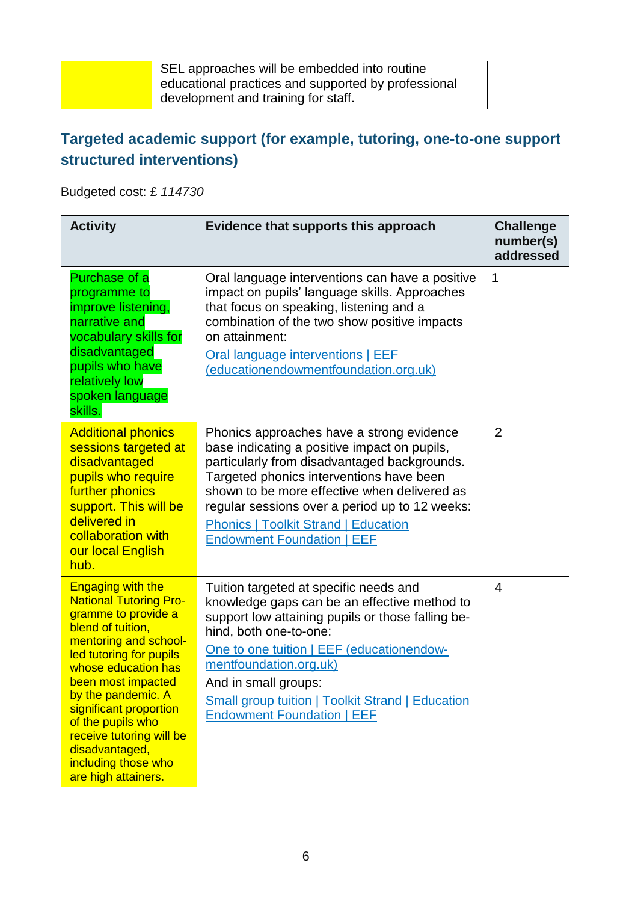| SEL approaches will be embedded into routine        |  |
|-----------------------------------------------------|--|
| educational practices and supported by professional |  |
| development and training for staff.                 |  |
|                                                     |  |

### **Targeted academic support (for example, tutoring, one-to-one support structured interventions)**

Budgeted cost: £ *114730*

| <b>Activity</b>                                                                                                                                                                                                                                                                                                                                                         | Evidence that supports this approach                                                                                                                                                                                                                                                                                                                                        | <b>Challenge</b><br>number(s)<br>addressed |
|-------------------------------------------------------------------------------------------------------------------------------------------------------------------------------------------------------------------------------------------------------------------------------------------------------------------------------------------------------------------------|-----------------------------------------------------------------------------------------------------------------------------------------------------------------------------------------------------------------------------------------------------------------------------------------------------------------------------------------------------------------------------|--------------------------------------------|
| Purchase of a<br>programme to<br>improve listening,<br>narrative and<br>vocabulary skills for<br>disadvantaged<br>pupils who have<br>relatively low<br>spoken language<br>skills.                                                                                                                                                                                       | Oral language interventions can have a positive<br>impact on pupils' language skills. Approaches<br>that focus on speaking, listening and a<br>combination of the two show positive impacts<br>on attainment:<br>Oral language interventions   EEF<br>(educationendowmentfoundation.org.uk)                                                                                 | 1                                          |
| <b>Additional phonics</b><br>sessions targeted at<br>disadvantaged<br>pupils who require<br>further phonics<br>support. This will be<br>delivered in<br>collaboration with<br>our local English<br>hub.                                                                                                                                                                 | Phonics approaches have a strong evidence<br>base indicating a positive impact on pupils,<br>particularly from disadvantaged backgrounds.<br>Targeted phonics interventions have been<br>shown to be more effective when delivered as<br>regular sessions over a period up to 12 weeks:<br><b>Phonics   Toolkit Strand   Education</b><br><b>Endowment Foundation   EEF</b> | $\overline{2}$                             |
| <b>Engaging with the</b><br><b>National Tutoring Pro-</b><br>gramme to provide a<br>blend of tuition,<br>mentoring and school-<br>led tutoring for pupils<br>whose education has<br>been most impacted<br>by the pandemic. A<br>significant proportion<br>of the pupils who<br>receive tutoring will be<br>disadvantaged,<br>including those who<br>are high attainers. | Tuition targeted at specific needs and<br>knowledge gaps can be an effective method to<br>support low attaining pupils or those falling be-<br>hind, both one-to-one:<br>One to one tuition   EEF (educationendow-<br>mentfoundation.org.uk)<br>And in small groups:<br><b>Small group tuition   Toolkit Strand   Education</b><br><b>Endowment Foundation   EEF</b>        | 4                                          |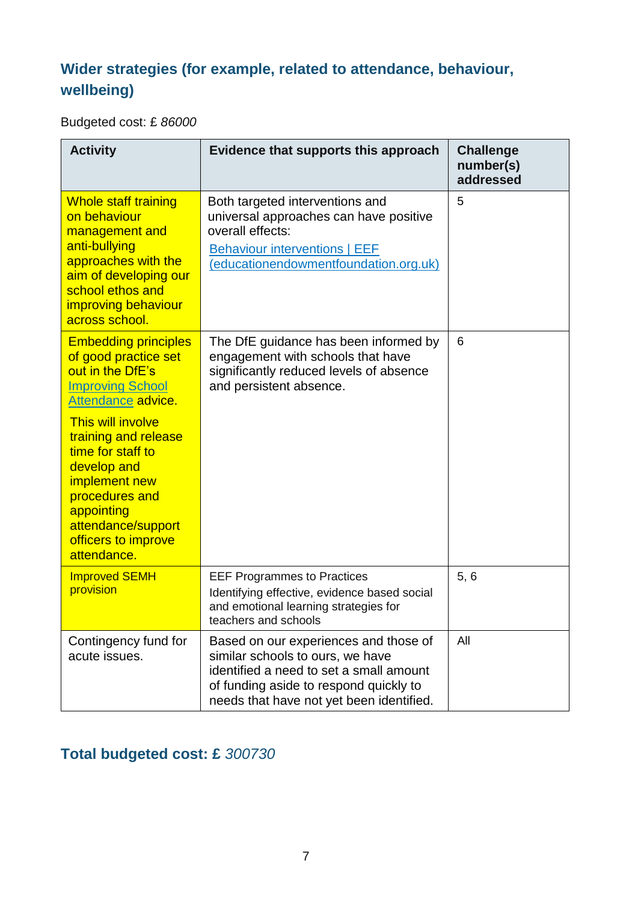#### **Wider strategies (for example, related to attendance, behaviour, wellbeing)**

Budgeted cost: £ *86000*

| <b>Activity</b>                                                                                                                                                                                                  | Evidence that supports this approach                                                                                                                                                                       | <b>Challenge</b><br>number(s)<br>addressed |
|------------------------------------------------------------------------------------------------------------------------------------------------------------------------------------------------------------------|------------------------------------------------------------------------------------------------------------------------------------------------------------------------------------------------------------|--------------------------------------------|
| <b>Whole staff training</b><br>on behaviour<br>management and<br>anti-bullying<br>approaches with the<br>aim of developing our<br>school ethos and<br>improving behaviour<br>across school.                      | Both targeted interventions and<br>universal approaches can have positive<br>overall effects:<br><b>Behaviour interventions   EEF</b><br>(educationendowmentfoundation.org.uk)                             | 5                                          |
| <b>Embedding principles</b><br>of good practice set<br>out in the DfE's<br><b>Improving School</b><br>Attendance advice.<br><b>This will involve</b><br>training and release<br>time for staff to<br>develop and | The DfE guidance has been informed by<br>engagement with schools that have<br>significantly reduced levels of absence<br>and persistent absence.                                                           | 6                                          |
| implement new<br>procedures and<br>appointing<br>attendance/support<br>officers to improve<br>attendance.                                                                                                        |                                                                                                                                                                                                            |                                            |
| <b>Improved SEMH</b><br>provision                                                                                                                                                                                | <b>EEF Programmes to Practices</b><br>Identifying effective, evidence based social<br>and emotional learning strategies for<br>teachers and schools                                                        | 5, 6                                       |
| Contingency fund for<br>acute issues.                                                                                                                                                                            | Based on our experiences and those of<br>similar schools to ours, we have<br>identified a need to set a small amount<br>of funding aside to respond quickly to<br>needs that have not yet been identified. | All                                        |

### **Total budgeted cost: £** *300730*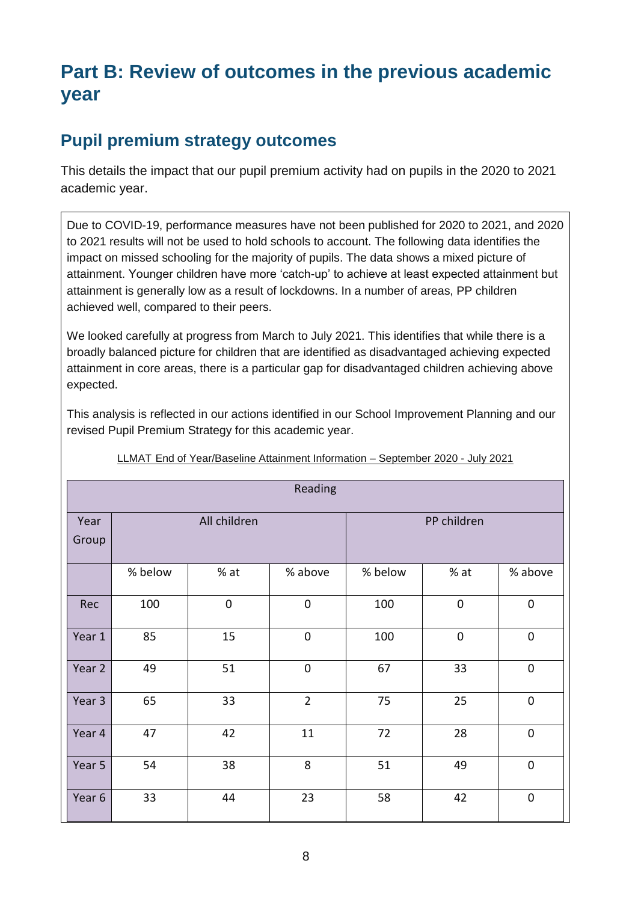# **Part B: Review of outcomes in the previous academic year**

#### **Pupil premium strategy outcomes**

This details the impact that our pupil premium activity had on pupils in the 2020 to 2021 academic year.

Due to COVID-19, performance measures have not been published for 2020 to 2021, and 2020 to 2021 results will not be used to hold schools to account. The following data identifies the impact on missed schooling for the majority of pupils. The data shows a mixed picture of attainment. Younger children have more 'catch-up' to achieve at least expected attainment but attainment is generally low as a result of lockdowns. In a number of areas, PP children achieved well, compared to their peers.

We looked carefully at progress from March to July 2021. This identifies that while there is a broadly balanced picture for children that are identified as disadvantaged achieving expected attainment in core areas, there is a particular gap for disadvantaged children achieving above expected.

This analysis is reflected in our actions identified in our School Improvement Planning and our revised Pupil Premium Strategy for this academic year.

| Reading       |              |             |                  |         |             |             |
|---------------|--------------|-------------|------------------|---------|-------------|-------------|
| Year<br>Group | All children |             | PP children      |         |             |             |
|               | % below      | $%$ at      | % above          | % below | $%$ at      | % above     |
| Rec           | 100          | $\mathbf 0$ | $\boldsymbol{0}$ | 100     | $\mathbf 0$ | $\mathbf 0$ |
| Year 1        | 85           | 15          | $\boldsymbol{0}$ | 100     | $\mathbf 0$ | $\pmb{0}$   |
| Year 2        | 49           | 51          | $\boldsymbol{0}$ | 67      | 33          | $\pmb{0}$   |
| Year 3        | 65           | 33          | $\overline{2}$   | 75      | 25          | $\mathbf 0$ |
| Year 4        | 47           | 42          | 11               | 72      | 28          | $\mathbf 0$ |
| Year 5        | 54           | 38          | 8                | 51      | 49          | $\mathbf 0$ |
| Year 6        | 33           | 44          | 23               | 58      | 42          | $\pmb{0}$   |

LLMAT End of Year/Baseline Attainment Information – September 2020 - July 2021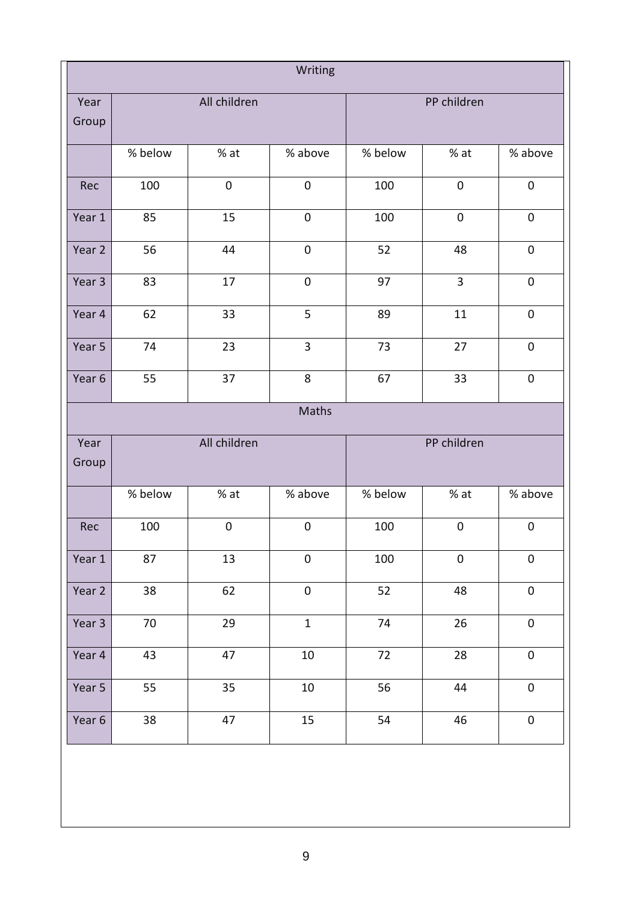| Writing       |              |                  |                  |             |                  |                  |
|---------------|--------------|------------------|------------------|-------------|------------------|------------------|
| Year<br>Group | All children |                  |                  | PP children |                  |                  |
|               | % below      | % at             | % above          | % below     | % at             | % above          |
| Rec           | 100          | $\boldsymbol{0}$ | $\boldsymbol{0}$ | 100         | $\boldsymbol{0}$ | $\pmb{0}$        |
| Year 1        | 85           | 15               | $\boldsymbol{0}$ | 100         | $\boldsymbol{0}$ | $\pmb{0}$        |
| Year 2        | 56           | 44               | $\boldsymbol{0}$ | 52          | 48               | $\pmb{0}$        |
| Year 3        | 83           | 17               | $\boldsymbol{0}$ | 97          | 3                | $\pmb{0}$        |
| Year 4        | 62           | 33               | 5                | 89          | 11               | $\pmb{0}$        |
| Year 5        | 74           | 23               | $\overline{3}$   | 73          | 27               | $\boldsymbol{0}$ |
| Year 6        | 55           | 37               | 8                | 67          | 33               | $\pmb{0}$        |
|               |              |                  | Maths            |             |                  |                  |
| Year<br>Group |              | All children     |                  |             | PP children      |                  |
|               | % below      | % at             | % above          | % below     | % at             | % above          |
| Rec           | 100          | $\boldsymbol{0}$ | $\mathbf 0$      | 100         | $\boldsymbol{0}$ | $\mathbf 0$      |
| Year 1        | 87           | 13               | $\boldsymbol{0}$ | 100         | $\boldsymbol{0}$ | $\mathbf 0$      |
| Year 2        | 38           | 62               | $\boldsymbol{0}$ | 52          | 48               | $\boldsymbol{0}$ |
| Year 3        | 70           | 29               | $\mathbf{1}$     | 74          | 26               | $\mathbf 0$      |
| Year 4        | 43           | 47               | $10\,$           | 72          | 28               | $\pmb{0}$        |
| Year 5        | 55           | 35               | $10\,$           | 56          | 44               | $\mathbf 0$      |
| Year 6        | 38           | 47               | 15               | 54          | 46               | $\boldsymbol{0}$ |
|               |              |                  |                  |             |                  |                  |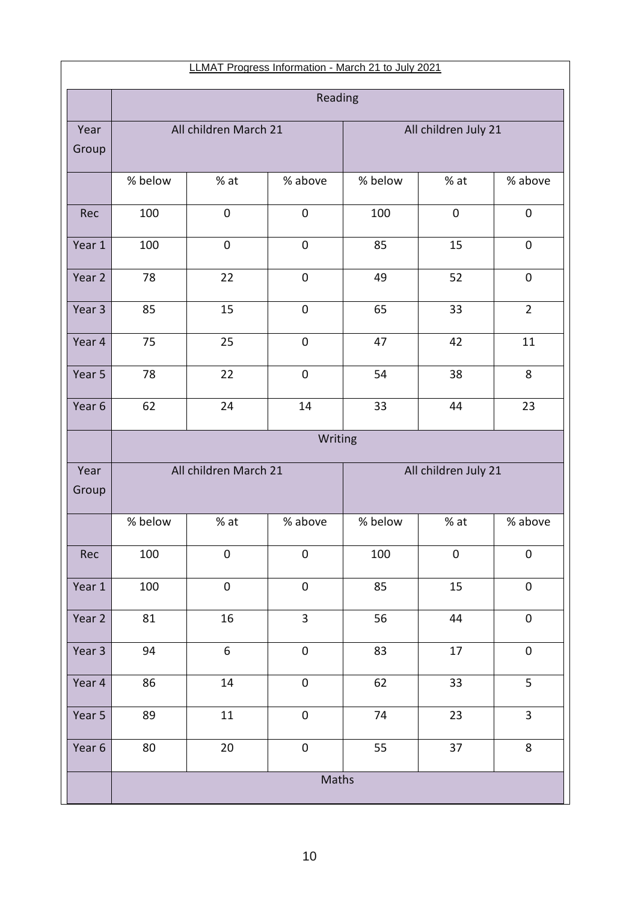| LLMAT Progress Information - March 21 to July 2021 |                       |                       |                  |         |                      |                  |
|----------------------------------------------------|-----------------------|-----------------------|------------------|---------|----------------------|------------------|
|                                                    | Reading               |                       |                  |         |                      |                  |
| Year<br>Group                                      | All children March 21 |                       |                  |         | All children July 21 |                  |
|                                                    | % below               | % at                  | % above          | % below | $%$ at               | % above          |
| Rec                                                | 100                   | $\boldsymbol{0}$      | $\boldsymbol{0}$ | 100     | $\pmb{0}$            | $\pmb{0}$        |
| Year 1                                             | 100                   | $\pmb{0}$             | $\boldsymbol{0}$ | 85      | 15                   | $\boldsymbol{0}$ |
| Year 2                                             | 78                    | 22                    | $\boldsymbol{0}$ | 49      | 52                   | $\pmb{0}$        |
| Year 3                                             | 85                    | 15                    | $\boldsymbol{0}$ | 65      | 33                   | $\overline{2}$   |
| Year 4                                             | 75                    | 25                    | $\mathbf 0$      | 47      | 42                   | 11               |
| Year 5                                             | 78                    | 22                    | $\mathbf 0$      | 54      | 38                   | 8                |
| Year 6                                             | 62                    | 24                    | 14               | 33      | 44                   | 23               |
|                                                    |                       |                       | Writing          |         |                      |                  |
| Year<br>Group                                      |                       | All children March 21 |                  |         | All children July 21 |                  |
|                                                    | % below               | % at                  | % above          | % below | % at                 | % above          |
| Rec                                                | 100                   | $\boldsymbol{0}$      | $\boldsymbol{0}$ | 100     | $\boldsymbol{0}$     | $\pmb{0}$        |
| Year 1                                             | 100                   | $\boldsymbol{0}$      | $\boldsymbol{0}$ | 85      | 15                   | $\mathbf 0$      |
| Year 2                                             | 81                    | 16                    | 3                | 56      | 44                   | $\pmb{0}$        |
| Year 3                                             | 94                    | 6                     | $\boldsymbol{0}$ | 83      | 17                   | $\boldsymbol{0}$ |
| Year 4                                             | 86                    | 14                    | $\boldsymbol{0}$ | 62      | 33                   | 5                |
| Year 5                                             | 89                    | 11                    | $\boldsymbol{0}$ | 74      | 23                   | 3                |
| Year 6                                             | 80                    | $20\,$                | $\boldsymbol{0}$ | 55      | 37                   | 8                |
|                                                    | Maths                 |                       |                  |         |                      |                  |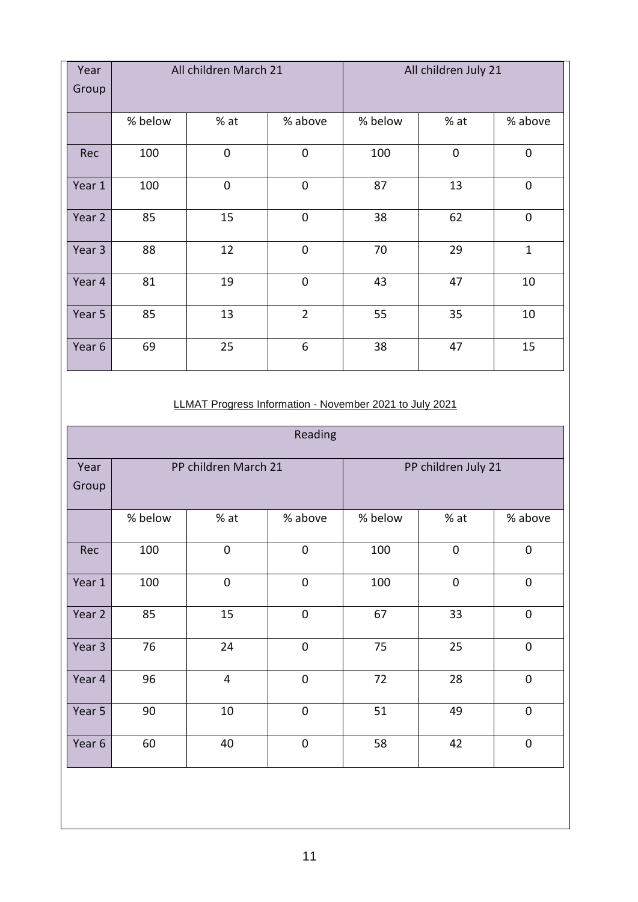| Year<br>Group | All children March 21 |             |                |         | All children July 21 |              |
|---------------|-----------------------|-------------|----------------|---------|----------------------|--------------|
|               | % below               | % at        | % above        | % below | %at                  | % above      |
| Rec           | 100                   | $\mathbf 0$ | $\mathbf 0$    | 100     | $\overline{0}$       | $\mathbf 0$  |
| Year 1        | 100                   | $\mathbf 0$ | $\mathbf 0$    | 87      | 13                   | $\mathbf 0$  |
| Year 2        | 85                    | 15          | $\mathbf 0$    | 38      | 62                   | $\mathbf 0$  |
| Year 3        | 88                    | 12          | $\mathbf 0$    | 70      | 29                   | $\mathbf{1}$ |
| Year 4        | 81                    | 19          | $\mathbf 0$    | 43      | 47                   | 10           |
| Year 5        | 85                    | 13          | $\overline{2}$ | 55      | 35                   | 10           |
| Year 6        | 69                    | 25          | 6              | 38      | 47                   | 15           |

#### LLMAT Progress Information - November 2021 to July 2021

| Reading       |                      |                |                  |                     |             |             |
|---------------|----------------------|----------------|------------------|---------------------|-------------|-------------|
| Year<br>Group | PP children March 21 |                |                  | PP children July 21 |             |             |
|               | % below              | $%$ at         | % above          | % below             | $%$ at      | % above     |
| Rec           | 100                  | $\mathbf 0$    | $\mathbf 0$      | 100                 | $\mathbf 0$ | $\mathbf 0$ |
| Year 1        | 100                  | $\mathbf 0$    | $\mathbf 0$      | 100                 | $\mathbf 0$ | $\mathbf 0$ |
| Year 2        | 85                   | 15             | $\mathbf 0$      | 67                  | 33          | $\mathbf 0$ |
| Year 3        | 76                   | 24             | $\pmb{0}$        | 75                  | 25          | $\mathbf 0$ |
| Year 4        | 96                   | $\overline{4}$ | $\mathbf 0$      | 72                  | 28          | $\mathbf 0$ |
| Year 5        | 90                   | 10             | $\boldsymbol{0}$ | 51                  | 49          | $\mathbf 0$ |
| Year 6        | 60                   | 40             | $\mathbf 0$      | 58                  | 42          | $\mathbf 0$ |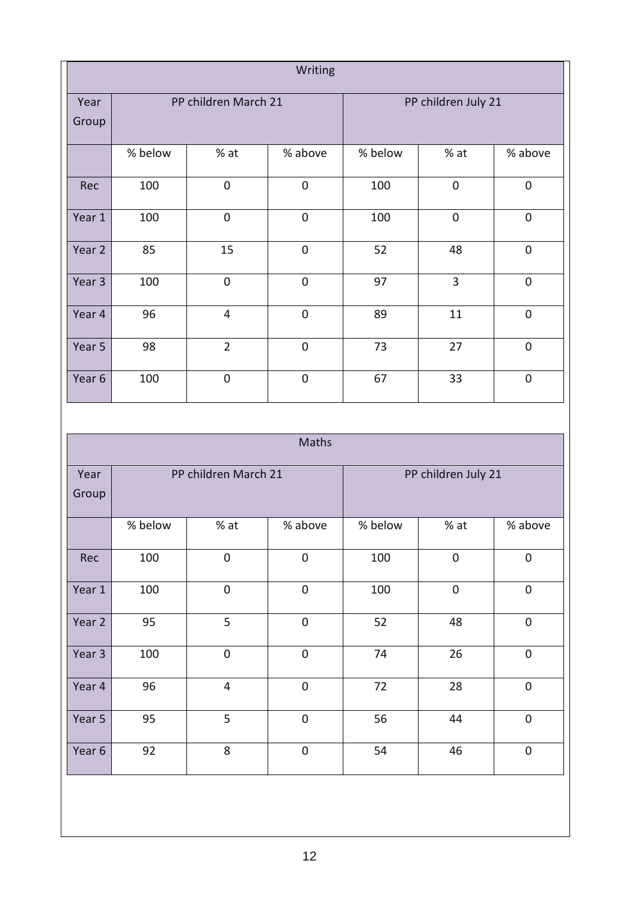| Writing       |                      |                  |                  |                     |             |             |
|---------------|----------------------|------------------|------------------|---------------------|-------------|-------------|
| Year<br>Group | PP children March 21 |                  |                  | PP children July 21 |             |             |
|               | % below              | %at              | % above          | % below             | % at        | % above     |
| Rec           | 100                  | $\boldsymbol{0}$ | $\boldsymbol{0}$ | 100                 | $\mathbf 0$ | $\mathbf 0$ |
| Year 1        | 100                  | $\mathbf 0$      | $\mathbf 0$      | 100                 | $\mathbf 0$ | $\mathbf 0$ |
| Year 2        | 85                   | 15               | $\mathbf 0$      | 52                  | 48          | $\mathbf 0$ |
| Year 3        | 100                  | $\mathbf 0$      | $\mathbf 0$      | 97                  | 3           | $\mathbf 0$ |
| Year 4        | 96                   | $\overline{4}$   | $\boldsymbol{0}$ | 89                  | 11          | $\mathbf 0$ |
| Year 5        | 98                   | $\overline{2}$   | $\overline{0}$   | 73                  | 27          | $\mathbf 0$ |
| Year 6        | 100                  | $\boldsymbol{0}$ | $\boldsymbol{0}$ | 67                  | 33          | $\mathbf 0$ |

| Maths         |                      |                  |              |                     |             |                |
|---------------|----------------------|------------------|--------------|---------------------|-------------|----------------|
| Year<br>Group | PP children March 21 |                  |              | PP children July 21 |             |                |
|               | % below              | $%$ at           | % above      | % below             | % at        | % above        |
| Rec           | 100                  | $\boldsymbol{0}$ | $\mathbf 0$  | 100                 | $\mathbf 0$ | $\overline{0}$ |
| Year 1        | 100                  | 0                | $\mathbf 0$  | 100                 | $\mathbf 0$ | $\mathbf 0$    |
| Year 2        | 95                   | 5                | $\mathbf{0}$ | 52                  | 48          | $\overline{0}$ |
| Year 3        | 100                  | $\mathbf 0$      | $\mathbf 0$  | 74                  | 26          | $\mathbf 0$    |
| Year 4        | 96                   | $\overline{4}$   | $\mathbf 0$  | 72                  | 28          | $\overline{0}$ |
| Year 5        | 95                   | 5                | $\pmb{0}$    | 56                  | 44          | $\mathbf 0$    |
| Year 6        | 92                   | 8                | $\mathbf 0$  | 54                  | 46          | $\mathbf 0$    |